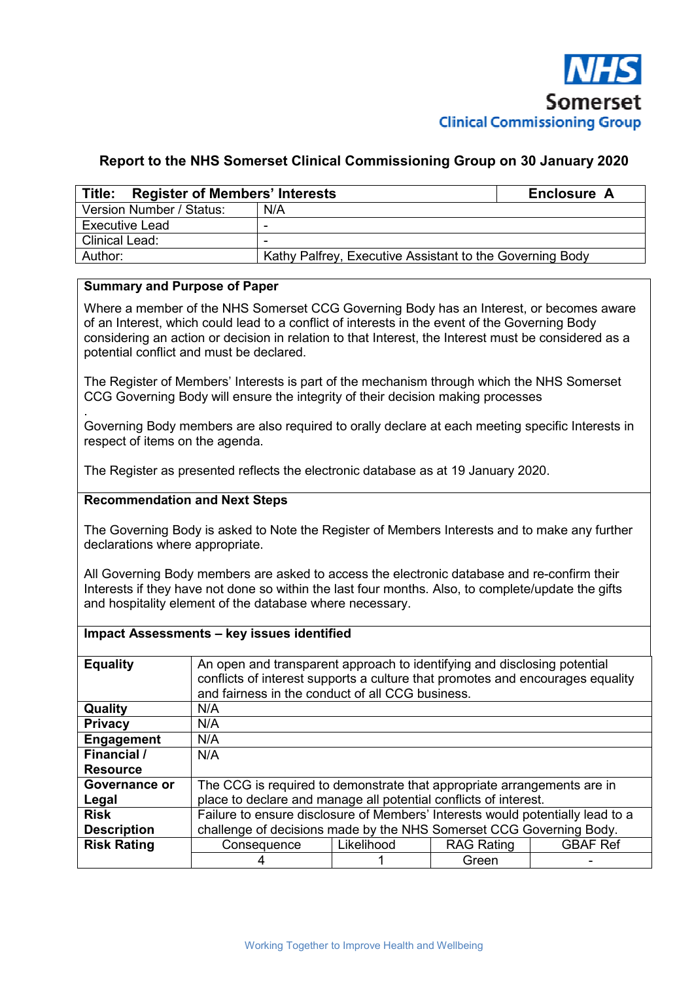

### **Report to the NHS Somerset Clinical Commissioning Group on 30 January 2020**

| Title: Register of Members' Interests | Enclosure A                                              |  |  |  |  |
|---------------------------------------|----------------------------------------------------------|--|--|--|--|
| Version Number / Status:              | N/A                                                      |  |  |  |  |
| Executive Lead                        |                                                          |  |  |  |  |
| <b>Clinical Lead:</b>                 |                                                          |  |  |  |  |
| Author:                               | Kathy Palfrey, Executive Assistant to the Governing Body |  |  |  |  |

### **Summary and Purpose of Paper**

Where a member of the NHS Somerset CCG Governing Body has an Interest, or becomes aware of an Interest, which could lead to a conflict of interests in the event of the Governing Body considering an action or decision in relation to that Interest, the Interest must be considered as a potential conflict and must be declared.

The Register of Members' Interests is part of the mechanism through which the NHS Somerset CCG Governing Body will ensure the integrity of their decision making processes

. Governing Body members are also required to orally declare at each meeting specific Interests in respect of items on the agenda.

The Register as presented reflects the electronic database as at 19 January 2020.

#### **Recommendation and Next Steps**

The Governing Body is asked to Note the Register of Members Interests and to make any further declarations where appropriate.

All Governing Body members are asked to access the electronic database and re-confirm their Interests if they have not done so within the last four months. Also, to complete/update the gifts and hospitality element of the database where necessary.

#### **Impact Assessments – key issues identified**

| <b>Equality</b>    | An open and transparent approach to identifying and disclosing potential<br>conflicts of interest supports a culture that promotes and encourages equality<br>and fairness in the conduct of all CCG business. |            |                   |                 |  |  |  |  |
|--------------------|----------------------------------------------------------------------------------------------------------------------------------------------------------------------------------------------------------------|------------|-------------------|-----------------|--|--|--|--|
| Quality            | N/A                                                                                                                                                                                                            |            |                   |                 |  |  |  |  |
| <b>Privacy</b>     | N/A                                                                                                                                                                                                            |            |                   |                 |  |  |  |  |
| <b>Engagement</b>  | N/A                                                                                                                                                                                                            |            |                   |                 |  |  |  |  |
| Financial /        | N/A                                                                                                                                                                                                            |            |                   |                 |  |  |  |  |
| <b>Resource</b>    |                                                                                                                                                                                                                |            |                   |                 |  |  |  |  |
| Governance or      | The CCG is required to demonstrate that appropriate arrangements are in                                                                                                                                        |            |                   |                 |  |  |  |  |
| Legal              | place to declare and manage all potential conflicts of interest.                                                                                                                                               |            |                   |                 |  |  |  |  |
| <b>Risk</b>        | Failure to ensure disclosure of Members' Interests would potentially lead to a                                                                                                                                 |            |                   |                 |  |  |  |  |
| <b>Description</b> | challenge of decisions made by the NHS Somerset CCG Governing Body.                                                                                                                                            |            |                   |                 |  |  |  |  |
| <b>Risk Rating</b> | Consequence                                                                                                                                                                                                    | Likelihood | <b>RAG Rating</b> | <b>GBAF Ref</b> |  |  |  |  |
|                    |                                                                                                                                                                                                                |            | Green             |                 |  |  |  |  |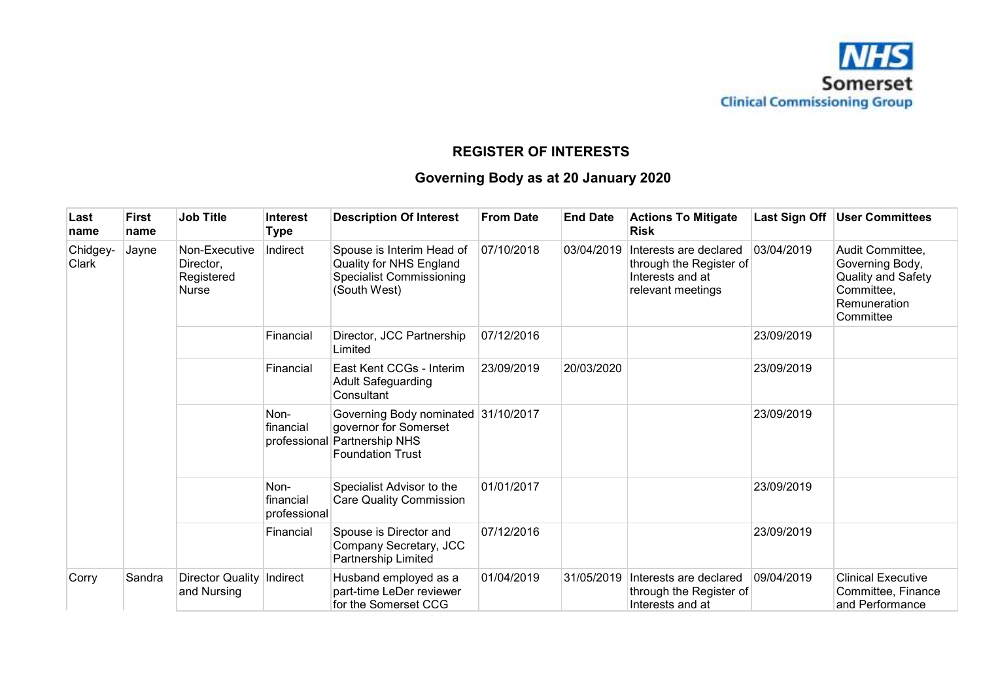

## **REGISTER OF INTERESTS**

# **Governing Body as at 20 January 2020**

| Last<br>name      | First<br>name | <b>Job Title</b>                                  | Interest<br>Type                  | <b>Description Of Interest</b>                                                                             | <b>From Date</b> | <b>End Date</b> | <b>Actions To Mitigate</b><br><b>Risk</b>                                                  | Last Sign Off | <b>User Committees</b>                                                                               |
|-------------------|---------------|---------------------------------------------------|-----------------------------------|------------------------------------------------------------------------------------------------------------|------------------|-----------------|--------------------------------------------------------------------------------------------|---------------|------------------------------------------------------------------------------------------------------|
| Chidgey-<br>Clark | Jayne         | Non-Executive<br>Director,<br>Registered<br>Nurse | Indirect                          | Spouse is Interim Head of<br>Quality for NHS England<br><b>Specialist Commissioning</b><br>(South West)    | 07/10/2018       | 03/04/2019      | Interests are declared<br>through the Register of<br>Interests and at<br>relevant meetings | 03/04/2019    | Audit Committee,<br>Governing Body,<br>Quality and Safety<br>Committee,<br>Remuneration<br>Committee |
|                   |               |                                                   | Financial                         | Director, JCC Partnership<br>Limited                                                                       | 07/12/2016       |                 |                                                                                            | 23/09/2019    |                                                                                                      |
|                   |               |                                                   | Financial                         | East Kent CCGs - Interim<br><b>Adult Safeguarding</b><br>Consultant                                        | 23/09/2019       | 20/03/2020      |                                                                                            | 23/09/2019    |                                                                                                      |
|                   |               |                                                   | Non-<br>financial<br>professional | Governing Body nominated 31/10/2017<br>governor for Somerset<br>Partnership NHS<br><b>Foundation Trust</b> |                  |                 |                                                                                            | 23/09/2019    |                                                                                                      |
|                   |               |                                                   | Non-<br>financial<br>professional | Specialist Advisor to the<br><b>Care Quality Commission</b>                                                | 01/01/2017       |                 |                                                                                            | 23/09/2019    |                                                                                                      |
|                   |               |                                                   | Financial                         | Spouse is Director and<br>Company Secretary, JCC<br>Partnership Limited                                    | 07/12/2016       |                 |                                                                                            | 23/09/2019    |                                                                                                      |
| Corry             | Sandra        | <b>Director Quality</b><br>and Nursing            | Indirect                          | Husband employed as a<br>part-time LeDer reviewer<br>for the Somerset CCG                                  | 01/04/2019       | 31/05/2019      | Interests are declared<br>through the Register of<br>Interests and at                      | 09/04/2019    | <b>Clinical Executive</b><br>Committee, Finance<br>and Performance                                   |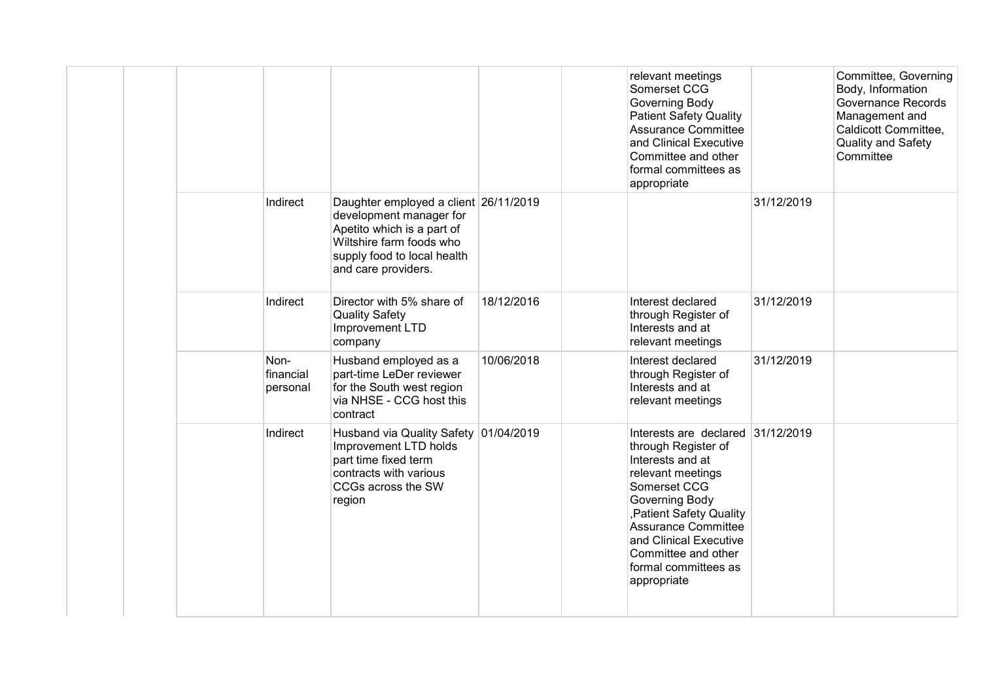|  |                               |                                                                                                                                                                                  |            | relevant meetings<br>Somerset CCG<br>Governing Body<br><b>Patient Safety Quality</b><br><b>Assurance Committee</b><br>and Clinical Executive<br>Committee and other<br>formal committees as<br>appropriate                                                                            |            | Committee, Governing<br>Body, Information<br>Governance Records<br>Management and<br>Caldicott Committee,<br>Quality and Safety<br>Committee |
|--|-------------------------------|----------------------------------------------------------------------------------------------------------------------------------------------------------------------------------|------------|---------------------------------------------------------------------------------------------------------------------------------------------------------------------------------------------------------------------------------------------------------------------------------------|------------|----------------------------------------------------------------------------------------------------------------------------------------------|
|  | Indirect                      | Daughter employed a client 26/11/2019<br>development manager for<br>Apetito which is a part of<br>Wiltshire farm foods who<br>supply food to local health<br>and care providers. |            |                                                                                                                                                                                                                                                                                       | 31/12/2019 |                                                                                                                                              |
|  | Indirect                      | Director with 5% share of<br><b>Quality Safety</b><br>Improvement LTD<br>company                                                                                                 | 18/12/2016 | Interest declared<br>through Register of<br>Interests and at<br>relevant meetings                                                                                                                                                                                                     | 31/12/2019 |                                                                                                                                              |
|  | Non-<br>financial<br>personal | Husband employed as a<br>part-time LeDer reviewer<br>for the South west region<br>via NHSE - CCG host this<br>contract                                                           | 10/06/2018 | Interest declared<br>through Register of<br>Interests and at<br>relevant meetings                                                                                                                                                                                                     | 31/12/2019 |                                                                                                                                              |
|  | Indirect                      | Husband via Quality Safety 01/04/2019<br>Improvement LTD holds<br>part time fixed term<br>contracts with various<br>CCGs across the SW<br>region                                 |            | Interests are declared 31/12/2019<br>through Register of<br>Interests and at<br>relevant meetings<br>Somerset CCG<br>Governing Body<br>, Patient Safety Quality<br><b>Assurance Committee</b><br>and Clinical Executive<br>Committee and other<br>formal committees as<br>appropriate |            |                                                                                                                                              |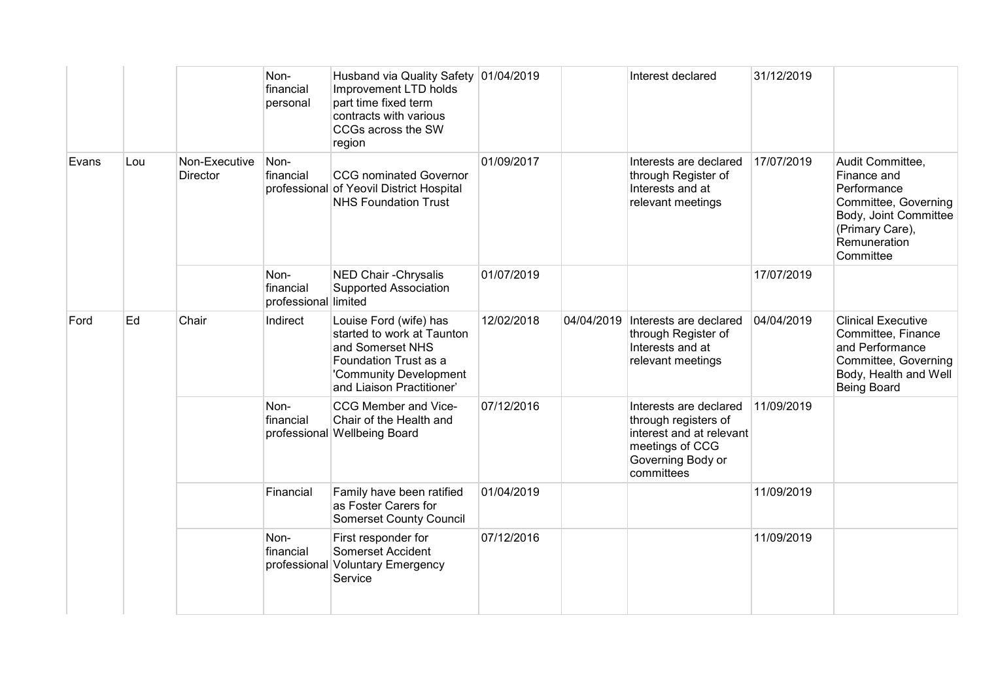|       |     |                                  | Non-<br>financial<br>personal             | Husband via Quality Safety 01/04/2019<br>Improvement LTD holds<br>part time fixed term<br>contracts with various<br>CCGs across the SW<br>region         |            |            | Interest declared                                                                                                                | 31/12/2019 |                                                                                                                                                 |
|-------|-----|----------------------------------|-------------------------------------------|----------------------------------------------------------------------------------------------------------------------------------------------------------|------------|------------|----------------------------------------------------------------------------------------------------------------------------------|------------|-------------------------------------------------------------------------------------------------------------------------------------------------|
| Evans | Lou | Non-Executive<br><b>Director</b> | Non-<br>financial                         | <b>CCG</b> nominated Governor<br>professional of Yeovil District Hospital<br><b>NHS Foundation Trust</b>                                                 | 01/09/2017 |            | Interests are declared<br>through Register of<br>Interests and at<br>relevant meetings                                           | 17/07/2019 | Audit Committee,<br>Finance and<br>Performance<br>Committee, Governing<br>Body, Joint Committee<br>(Primary Care),<br>Remuneration<br>Committee |
|       |     |                                  | Non-<br>financial<br>professional limited | NED Chair - Chrysalis<br><b>Supported Association</b>                                                                                                    | 01/07/2019 |            |                                                                                                                                  | 17/07/2019 |                                                                                                                                                 |
| Ford  | Ed  | Chair                            | Indirect                                  | Louise Ford (wife) has<br>started to work at Taunton<br>and Somerset NHS<br>Foundation Trust as a<br>'Community Development<br>and Liaison Practitioner' | 12/02/2018 | 04/04/2019 | Interests are declared<br>through Register of<br>Interests and at<br>relevant meetings                                           | 04/04/2019 | <b>Clinical Executive</b><br>Committee, Finance<br>and Performance<br>Committee, Governing<br>Body, Health and Well<br><b>Being Board</b>       |
|       |     |                                  | Non-<br>financial                         | CCG Member and Vice-<br>Chair of the Health and<br>professional Wellbeing Board                                                                          | 07/12/2016 |            | Interests are declared<br>through registers of<br>interest and at relevant<br>meetings of CCG<br>Governing Body or<br>committees | 11/09/2019 |                                                                                                                                                 |
|       |     |                                  | Financial                                 | Family have been ratified<br>as Foster Carers for<br><b>Somerset County Council</b>                                                                      | 01/04/2019 |            |                                                                                                                                  | 11/09/2019 |                                                                                                                                                 |
|       |     |                                  | Non-<br>financial<br>professional         | First responder for<br>Somerset Accident<br><b>Voluntary Emergency</b><br>Service                                                                        | 07/12/2016 |            |                                                                                                                                  | 11/09/2019 |                                                                                                                                                 |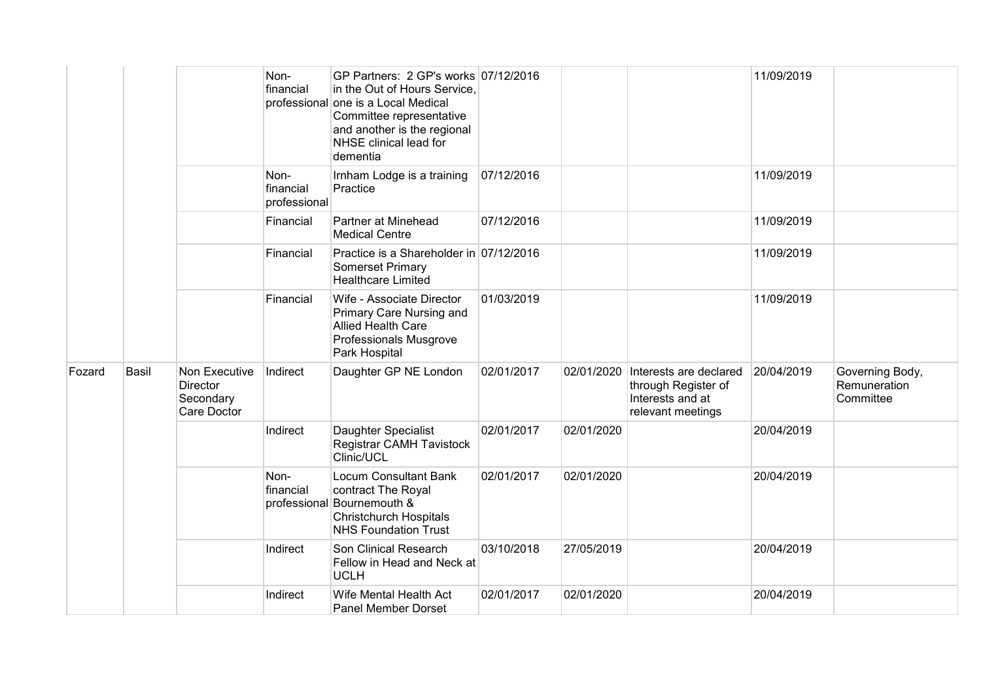|        |              |                                                       | Non-<br>financial                 | GP Partners: 2 GP's works 07/12/2016<br>in the Out of Hours Service,<br>professional one is a Local Medical<br>Committee representative<br>and another is the regional<br>NHSE clinical lead for<br>dementia |            |            |                                                                                                   | 11/09/2019 |                                              |
|--------|--------------|-------------------------------------------------------|-----------------------------------|--------------------------------------------------------------------------------------------------------------------------------------------------------------------------------------------------------------|------------|------------|---------------------------------------------------------------------------------------------------|------------|----------------------------------------------|
|        |              |                                                       | Non-<br>financial<br>professional | Irnham Lodge is a training<br>Practice                                                                                                                                                                       | 07/12/2016 |            |                                                                                                   | 11/09/2019 |                                              |
|        |              |                                                       | Financial                         | Partner at Minehead<br><b>Medical Centre</b>                                                                                                                                                                 | 07/12/2016 |            |                                                                                                   | 11/09/2019 |                                              |
|        |              |                                                       | Financial                         | Practice is a Shareholder in 07/12/2016<br><b>Somerset Primary</b><br><b>Healthcare Limited</b>                                                                                                              |            |            |                                                                                                   | 11/09/2019 |                                              |
|        |              |                                                       | Financial                         | Wife - Associate Director<br>Primary Care Nursing and<br><b>Allied Health Care</b><br>Professionals Musgrove<br>Park Hospital                                                                                | 01/03/2019 |            |                                                                                                   | 11/09/2019 |                                              |
| Fozard | <b>Basil</b> | Non Executive<br>Director<br>Secondary<br>Care Doctor | Indirect                          | Daughter GP NE London                                                                                                                                                                                        | 02/01/2017 |            | 02/01/2020 Interests are declared<br>through Register of<br>Interests and at<br>relevant meetings | 20/04/2019 | Governing Body,<br>Remuneration<br>Committee |
|        |              |                                                       | Indirect                          | Daughter Specialist<br><b>Registrar CAMH Tavistock</b><br>Clinic/UCL                                                                                                                                         | 02/01/2017 | 02/01/2020 |                                                                                                   | 20/04/2019 |                                              |
|        |              |                                                       | Non-<br>financial                 | <b>Locum Consultant Bank</b><br>contract The Royal<br>professional Bournemouth &<br><b>Christchurch Hospitals</b><br><b>NHS Foundation Trust</b>                                                             | 02/01/2017 | 02/01/2020 |                                                                                                   | 20/04/2019 |                                              |
|        |              |                                                       | Indirect                          | Son Clinical Research<br>Fellow in Head and Neck at<br><b>UCLH</b>                                                                                                                                           | 03/10/2018 | 27/05/2019 |                                                                                                   | 20/04/2019 |                                              |
|        |              |                                                       | Indirect                          | Wife Mental Health Act<br>Panel Member Dorset                                                                                                                                                                | 02/01/2017 | 02/01/2020 |                                                                                                   | 20/04/2019 |                                              |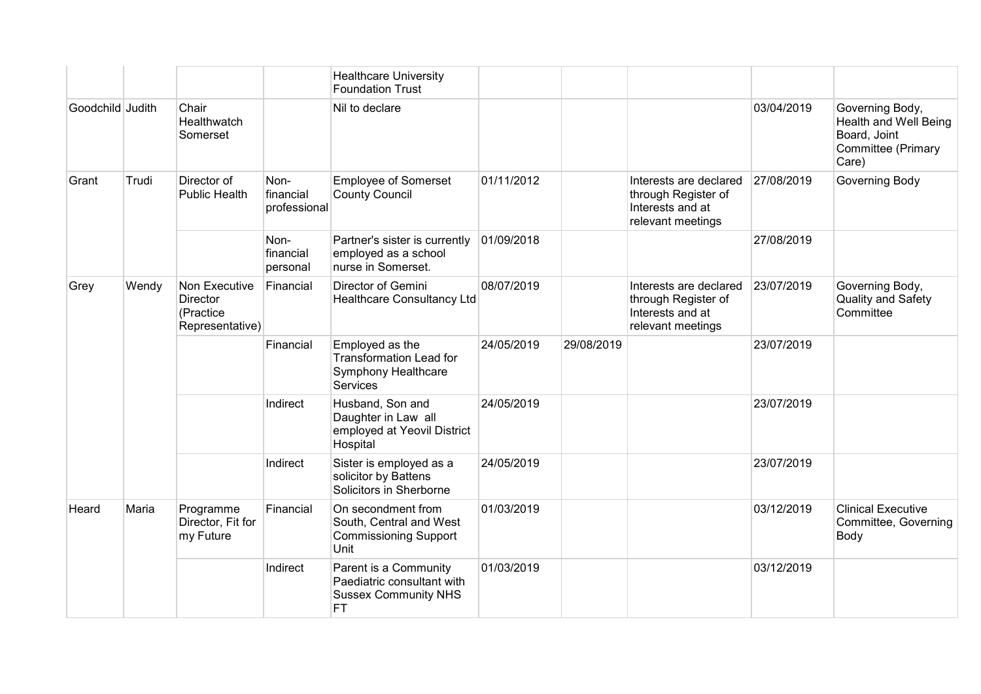|                  |       |                                                                  |                                   | <b>Healthcare University</b><br><b>Foundation Trust</b>                                         |            |            |                                                                                        |            |                                                                                                |
|------------------|-------|------------------------------------------------------------------|-----------------------------------|-------------------------------------------------------------------------------------------------|------------|------------|----------------------------------------------------------------------------------------|------------|------------------------------------------------------------------------------------------------|
| Goodchild Judith |       | Chair<br>Healthwatch<br>Somerset                                 |                                   | Nil to declare                                                                                  |            |            |                                                                                        | 03/04/2019 | Governing Body,<br><b>Health and Well Being</b><br>Board, Joint<br>Committee (Primary<br>Care) |
| Grant            | Trudi | Director of<br><b>Public Health</b>                              | Non-<br>financial<br>professional | <b>Employee of Somerset</b><br><b>County Council</b>                                            | 01/11/2012 |            | Interests are declared<br>through Register of<br>Interests and at<br>relevant meetings | 27/08/2019 | Governing Body                                                                                 |
|                  |       |                                                                  | Non-<br>financial<br>personal     | Partner's sister is currently<br>employed as a school<br>nurse in Somerset.                     | 01/09/2018 |            |                                                                                        | 27/08/2019 |                                                                                                |
| Grey             | Wendy | Non Executive<br><b>Director</b><br>(Practice<br>Representative) | Financial                         | Director of Gemini<br>Healthcare Consultancy Ltd                                                | 08/07/2019 |            | Interests are declared<br>through Register of<br>Interests and at<br>relevant meetings | 23/07/2019 | Governing Body,<br>Quality and Safety<br>Committee                                             |
|                  |       |                                                                  | Financial                         | Employed as the<br><b>Transformation Lead for</b><br>Symphony Healthcare<br><b>Services</b>     | 24/05/2019 | 29/08/2019 |                                                                                        | 23/07/2019 |                                                                                                |
|                  |       |                                                                  | Indirect                          | Husband, Son and<br>Daughter in Law all<br>employed at Yeovil District<br>Hospital              | 24/05/2019 |            |                                                                                        | 23/07/2019 |                                                                                                |
|                  |       |                                                                  | Indirect                          | Sister is employed as a<br>solicitor by Battens<br>Solicitors in Sherborne                      | 24/05/2019 |            |                                                                                        | 23/07/2019 |                                                                                                |
| Heard            | Maria | Programme<br>Director, Fit for<br>my Future                      | Financial                         | On secondment from<br>South, Central and West<br><b>Commissioning Support</b><br>Unit           | 01/03/2019 |            |                                                                                        | 03/12/2019 | <b>Clinical Executive</b><br>Committee, Governing<br>Body                                      |
|                  |       |                                                                  | Indirect                          | Parent is a Community<br>Paediatric consultant with<br><b>Sussex Community NHS</b><br><b>FT</b> | 01/03/2019 |            |                                                                                        | 03/12/2019 |                                                                                                |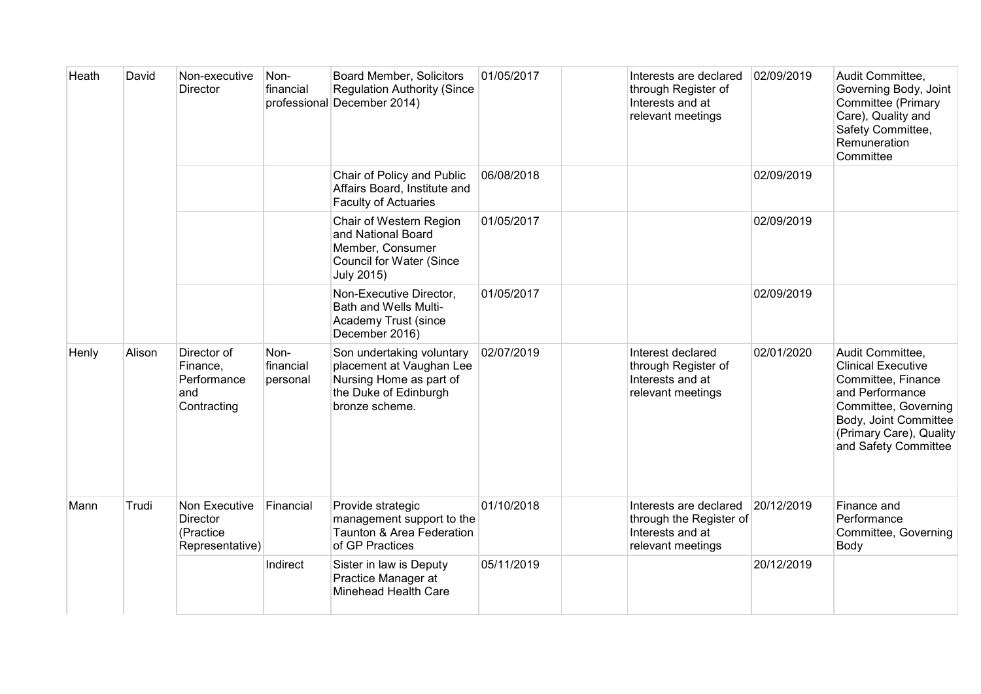| Heath | David  | Non-executive<br>Director                                    | Non-<br>financial             | <b>Board Member, Solicitors</b><br><b>Regulation Authority (Since</b><br>professional December 2014)                        | 01/05/2017 | Interests are declared<br>through Register of<br>Interests and at<br>relevant meetings     | 02/09/2019 | Audit Committee,<br>Governing Body, Joint<br>Committee (Primary<br>Care), Quality and<br>Safety Committee,<br>Remuneration<br>Committee                                                    |
|-------|--------|--------------------------------------------------------------|-------------------------------|-----------------------------------------------------------------------------------------------------------------------------|------------|--------------------------------------------------------------------------------------------|------------|--------------------------------------------------------------------------------------------------------------------------------------------------------------------------------------------|
|       |        |                                                              |                               | Chair of Policy and Public<br>Affairs Board, Institute and<br><b>Faculty of Actuaries</b>                                   | 06/08/2018 |                                                                                            | 02/09/2019 |                                                                                                                                                                                            |
|       |        |                                                              |                               | Chair of Western Region<br>and National Board<br>Member, Consumer<br><b>Council for Water (Since</b><br>July 2015)          | 01/05/2017 |                                                                                            | 02/09/2019 |                                                                                                                                                                                            |
|       |        |                                                              |                               | Non-Executive Director,<br>Bath and Wells Multi-<br>Academy Trust (since<br>December 2016)                                  | 01/05/2017 |                                                                                            | 02/09/2019 |                                                                                                                                                                                            |
| Henly | Alison | Director of<br>Finance,<br>Performance<br>and<br>Contracting | Non-<br>financial<br>personal | Son undertaking voluntary<br>placement at Vaughan Lee<br>Nursing Home as part of<br>the Duke of Edinburgh<br>bronze scheme. | 02/07/2019 | Interest declared<br>through Register of<br>Interests and at<br>relevant meetings          | 02/01/2020 | Audit Committee,<br><b>Clinical Executive</b><br>Committee, Finance<br>and Performance<br>Committee, Governing<br>Body, Joint Committee<br>(Primary Care), Quality<br>and Safety Committee |
| Mann  | Trudi  | Non Executive<br>Director<br>(Practice<br>Representative)    | Financial                     | Provide strategic<br>management support to the<br>Taunton & Area Federation<br>of GP Practices                              | 01/10/2018 | Interests are declared<br>through the Register of<br>Interests and at<br>relevant meetings | 20/12/2019 | Finance and<br>Performance<br>Committee, Governing<br>Body                                                                                                                                 |
|       |        |                                                              | Indirect                      | Sister in law is Deputy<br>Practice Manager at<br><b>Minehead Health Care</b>                                               | 05/11/2019 |                                                                                            | 20/12/2019 |                                                                                                                                                                                            |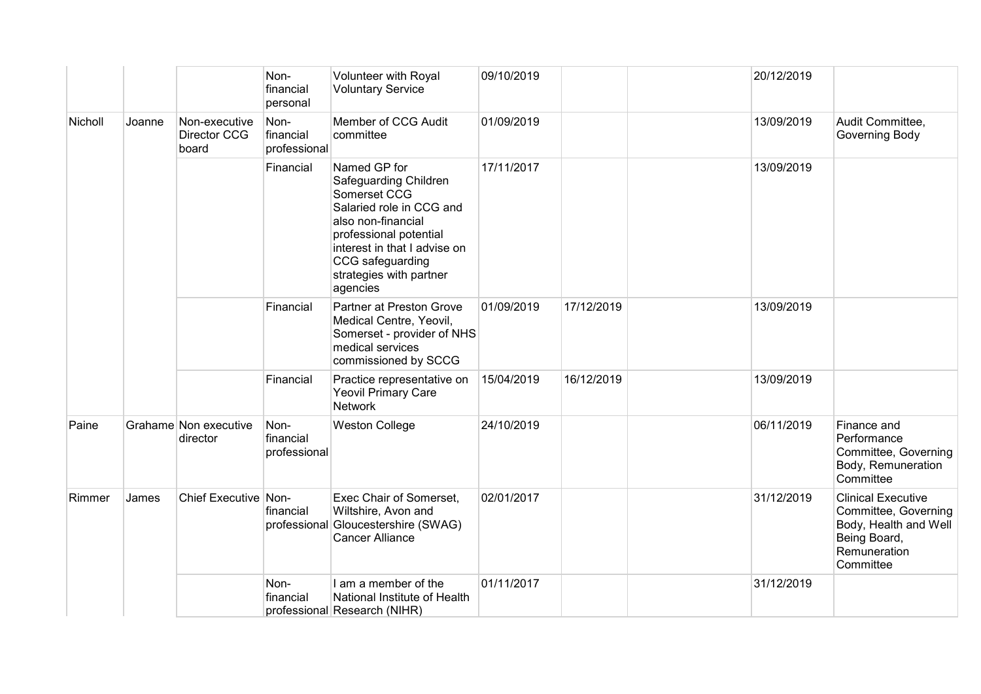|         |        |                                               | Non-<br>financial<br>personal     | Volunteer with Royal<br><b>Voluntary Service</b>                                                                                                                                                                             | 09/10/2019 |            | 20/12/2019 |                                                                                                                         |
|---------|--------|-----------------------------------------------|-----------------------------------|------------------------------------------------------------------------------------------------------------------------------------------------------------------------------------------------------------------------------|------------|------------|------------|-------------------------------------------------------------------------------------------------------------------------|
| Nicholl | Joanne | Non-executive<br><b>Director CCG</b><br>board | Non-<br>financial<br>professional | Member of CCG Audit<br>committee                                                                                                                                                                                             | 01/09/2019 |            | 13/09/2019 | Audit Committee,<br>Governing Body                                                                                      |
|         |        |                                               | Financial                         | Named GP for<br>Safeguarding Children<br>Somerset CCG<br>Salaried role in CCG and<br>also non-financial<br>professional potential<br>interest in that I advise on<br>CCG safeguarding<br>strategies with partner<br>agencies | 17/11/2017 |            | 13/09/2019 |                                                                                                                         |
|         |        |                                               | Financial                         | Partner at Preston Grove<br>Medical Centre, Yeovil,<br>Somerset - provider of NHS<br>medical services<br>commissioned by SCCG                                                                                                | 01/09/2019 | 17/12/2019 | 13/09/2019 |                                                                                                                         |
|         |        |                                               | Financial                         | Practice representative on<br><b>Yeovil Primary Care</b><br><b>Network</b>                                                                                                                                                   | 15/04/2019 | 16/12/2019 | 13/09/2019 |                                                                                                                         |
| Paine   |        | Grahame Non executive<br>director             | Non-<br>financial<br>professional | <b>Weston College</b>                                                                                                                                                                                                        | 24/10/2019 |            | 06/11/2019 | Finance and<br>Performance<br>Committee, Governing<br>Body, Remuneration<br>Committee                                   |
| Rimmer  | James  | Chief Executive Non-                          | financial                         | Exec Chair of Somerset,<br>Wiltshire, Avon and<br>professional Gloucestershire (SWAG)<br><b>Cancer Alliance</b>                                                                                                              | 02/01/2017 |            | 31/12/2019 | <b>Clinical Executive</b><br>Committee, Governing<br>Body, Health and Well<br>Being Board,<br>Remuneration<br>Committee |
|         |        |                                               | Non-<br>financial                 | I am a member of the<br>National Institute of Health<br>professional Research (NIHR)                                                                                                                                         | 01/11/2017 |            | 31/12/2019 |                                                                                                                         |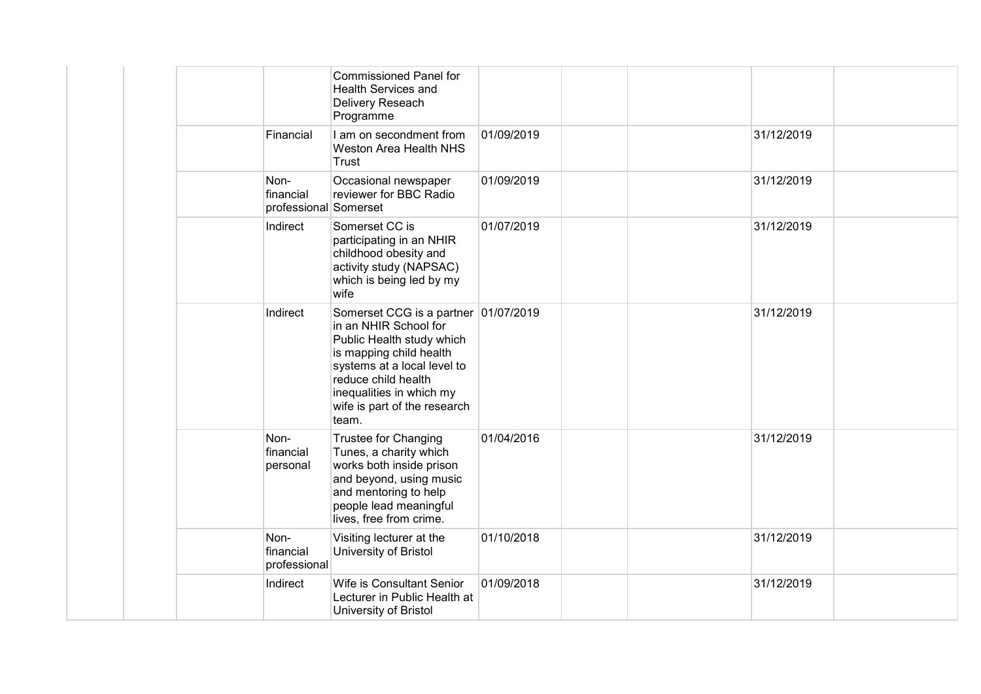|                                            | <b>Commissioned Panel for</b><br><b>Health Services and</b><br>Delivery Reseach<br>Programme                                                                                                                                                     |            |            |  |
|--------------------------------------------|--------------------------------------------------------------------------------------------------------------------------------------------------------------------------------------------------------------------------------------------------|------------|------------|--|
| Financial                                  | I am on secondment from<br>Weston Area Health NHS<br>Trust                                                                                                                                                                                       | 01/09/2019 | 31/12/2019 |  |
| Non-<br>financial<br>professional Somerset | Occasional newspaper<br>reviewer for BBC Radio                                                                                                                                                                                                   | 01/09/2019 | 31/12/2019 |  |
| Indirect                                   | Somerset CC is<br>participating in an NHIR<br>childhood obesity and<br>activity study (NAPSAC)<br>which is being led by my<br>wife                                                                                                               | 01/07/2019 | 31/12/2019 |  |
| Indirect                                   | Somerset CCG is a partner 01/07/2019<br>in an NHIR School for<br>Public Health study which<br>is mapping child health<br>systems at a local level to<br>reduce child health<br>inequalities in which my<br>wife is part of the research<br>team. |            | 31/12/2019 |  |
| Non-<br>financial<br>personal              | <b>Trustee for Changing</b><br>Tunes, a charity which<br>works both inside prison<br>and beyond, using music<br>and mentoring to help<br>people lead meaningful<br>lives, free from crime.                                                       | 01/04/2016 | 31/12/2019 |  |
| Non-<br>financial<br>professional          | Visiting lecturer at the<br>University of Bristol                                                                                                                                                                                                | 01/10/2018 | 31/12/2019 |  |
| Indirect                                   | Wife is Consultant Senior<br>Lecturer in Public Health at<br>University of Bristol                                                                                                                                                               | 01/09/2018 | 31/12/2019 |  |